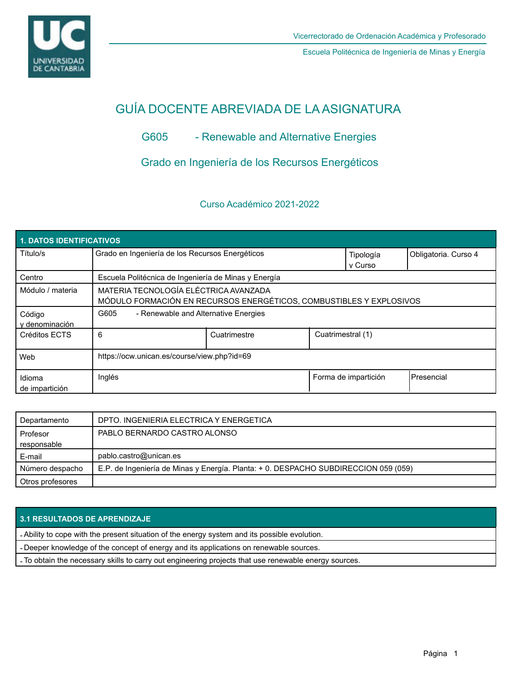

Escuela Politécnica de Ingeniería de Minas y Energía

# GUÍA DOCENTE ABREVIADA DE LA ASIGNATURA

# G605 - Renewable and Alternative Energies

Grado en Ingeniería de los Recursos Energéticos

# Curso Académico 2021-2022

| 1. DATOS IDENTIFICATIVOS |                                                                                                              |              |                      |                      |            |  |  |  |
|--------------------------|--------------------------------------------------------------------------------------------------------------|--------------|----------------------|----------------------|------------|--|--|--|
| Título/s                 | Grado en Ingeniería de los Recursos Energéticos                                                              |              | Tipología<br>v Curso | Obligatoria. Curso 4 |            |  |  |  |
| Centro                   | Escuela Politécnica de Ingeniería de Minas y Energía                                                         |              |                      |                      |            |  |  |  |
| Módulo / materia         | MATERIA TECNOLOGÍA ELÉCTRICA AVANZADA<br>MÓDULO FORMACIÓN EN RECURSOS ENERGÉTICOS, COMBUSTIBLES Y EXPLOSIVOS |              |                      |                      |            |  |  |  |
| Código<br>y denominación | G605<br>- Renewable and Alternative Energies                                                                 |              |                      |                      |            |  |  |  |
| Créditos ECTS            | 6                                                                                                            | Cuatrimestre | Cuatrimestral (1)    |                      |            |  |  |  |
| Web                      | https://ocw.unican.es/course/view.php?id=69                                                                  |              |                      |                      |            |  |  |  |
| Idioma<br>de impartición | Inglés                                                                                                       |              |                      | Forma de impartición | Presencial |  |  |  |

| Departamento     | DPTO. INGENIERIA ELECTRICA Y ENERGETICA                                             |  |
|------------------|-------------------------------------------------------------------------------------|--|
| Profesor         | PABLO BERNARDO CASTRO ALONSO                                                        |  |
| responsable      |                                                                                     |  |
| E-mail           | pablo.castro@unican.es                                                              |  |
| Número despacho  | E.P. de Ingeniería de Minas y Energía. Planta: + 0. DESPACHO SUBDIRECCION 059 (059) |  |
| Otros profesores |                                                                                     |  |

## **3.1 RESULTADOS DE APRENDIZAJE**

- Ability to cope with the present situation of the energy system and its possible evolution.

- Deeper knowledge of the concept of energy and its applications on renewable sources.

- To obtain the necessary skills to carry out engineering projects that use renewable energy sources.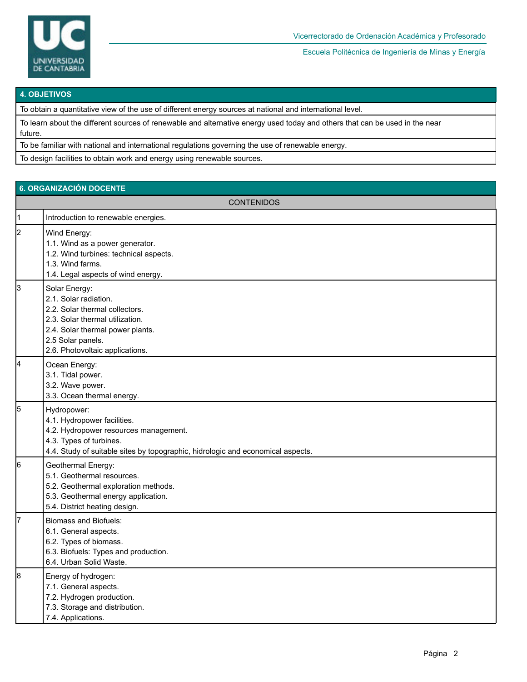

Escuela Politécnica de Ingeniería de Minas y Energía

#### **4. OBJETIVOS**

To obtain a quantitative view of the use of different energy sources at national and international level.

To learn about the different sources of renewable and alternative energy used today and others that can be used in the near future.

To be familiar with national and international regulations governing the use of renewable energy.

To design facilities to obtain work and energy using renewable sources.

# **6. ORGANIZACIÓN DOCENTE**

|           | <b>CONTENIDOS</b>                                                                                                                                                                                       |  |  |  |  |
|-----------|---------------------------------------------------------------------------------------------------------------------------------------------------------------------------------------------------------|--|--|--|--|
| $\vert$ 1 | Introduction to renewable energies.                                                                                                                                                                     |  |  |  |  |
| 2         | Wind Energy:<br>1.1. Wind as a power generator.<br>1.2. Wind turbines: technical aspects.<br>1.3. Wind farms.<br>1.4. Legal aspects of wind energy.                                                     |  |  |  |  |
| 3         | Solar Energy:<br>2.1. Solar radiation.<br>2.2. Solar thermal collectors.<br>2.3. Solar thermal utilization.<br>2.4. Solar thermal power plants.<br>2.5 Solar panels.<br>2.6. Photovoltaic applications. |  |  |  |  |
| 4         | Ocean Energy:<br>3.1. Tidal power.<br>3.2. Wave power.<br>3.3. Ocean thermal energy.                                                                                                                    |  |  |  |  |
| 5         | Hydropower:<br>4.1. Hydropower facilities.<br>4.2. Hydropower resources management.<br>4.3. Types of turbines.<br>4.4. Study of suitable sites by topographic, hidrologic and economical aspects.       |  |  |  |  |
| 6         | Geothermal Energy:<br>5.1. Geothermal resources.<br>5.2. Geothermal exploration methods.<br>5.3. Geothermal energy application.<br>5.4. District heating design.                                        |  |  |  |  |
| 7         | <b>Biomass and Biofuels:</b><br>6.1. General aspects.<br>6.2. Types of biomass.<br>6.3. Biofuels: Types and production.<br>6.4. Urban Solid Waste.                                                      |  |  |  |  |
| 8         | Energy of hydrogen:<br>7.1. General aspects.<br>7.2. Hydrogen production.<br>7.3. Storage and distribution.<br>7.4. Applications.                                                                       |  |  |  |  |